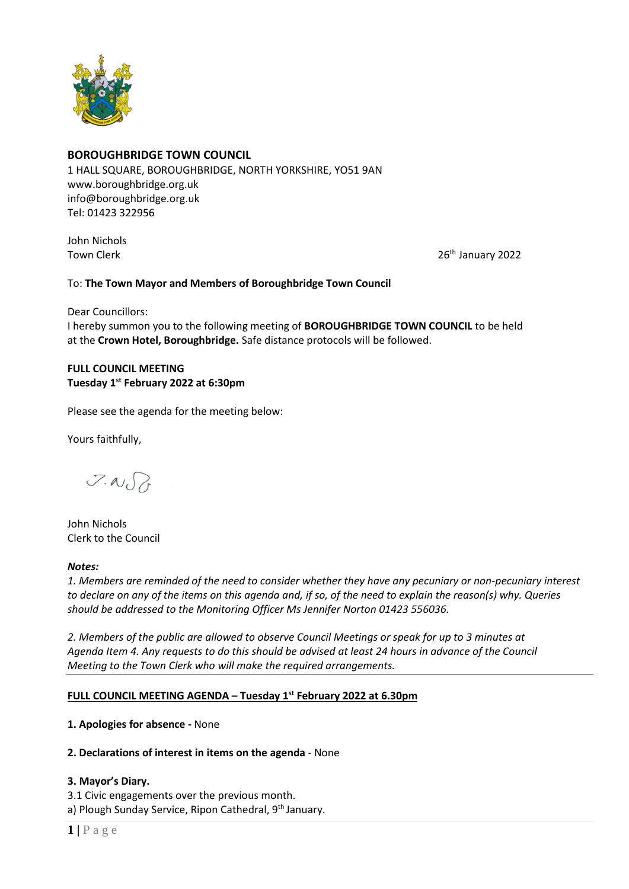

# **BOROUGHBRIDGE TOWN COUNCIL**

1 HALL SQUARE, BOROUGHBRIDGE, NORTH YORKSHIRE, YO51 9AN [www.boroughbridge.org.uk](http://www.boroughbridge.org.uk/) [info@boroughbridge.org.uk](mailto:info@boroughbridge.org.uk) Tel: 01423 322956

John Nichols

Town Clerk 2022

## To: **The Town Mayor and Members of Boroughbridge Town Council**

Dear Councillors: I hereby summon you to the following meeting of **BOROUGHBRIDGE TOWN COUNCIL** to be held at the **Crown Hotel, Boroughbridge.** Safe distance protocols will be followed.

# **FULL COUNCIL MEETING Tuesday 1 st February 2022 at 6:30pm**

Please see the agenda for the meeting below:

Yours faithfully,

 $7.00$ 

John Nichols Clerk to the Council

#### *Notes:*

*1. Members are reminded of the need to consider whether they have any pecuniary or non-pecuniary interest to declare on any of the items on this agenda and, if so, of the need to explain the reason(s) why. Queries should be addressed to the Monitoring Officer Ms Jennifer Norton 01423 556036.* 

*2. Members of the public are allowed to observe Council Meetings or speak for up to 3 minutes at Agenda Item 4. Any requests to do this should be advised at least 24 hours in advance of the Council Meeting to the Town Clerk who will make the required arrangements.* 

## **FULL COUNCIL MEETING AGENDA – Tuesday 1 st February 2022 at 6.30pm**

## **1. Apologies for absence -** None

## **2. Declarations of interest in items on the agenda** - None

## **3. Mayor's Diary.**

3.1 Civic engagements over the previous month. a) Plough Sunday Service, Ripon Cathedral, 9<sup>th</sup> January.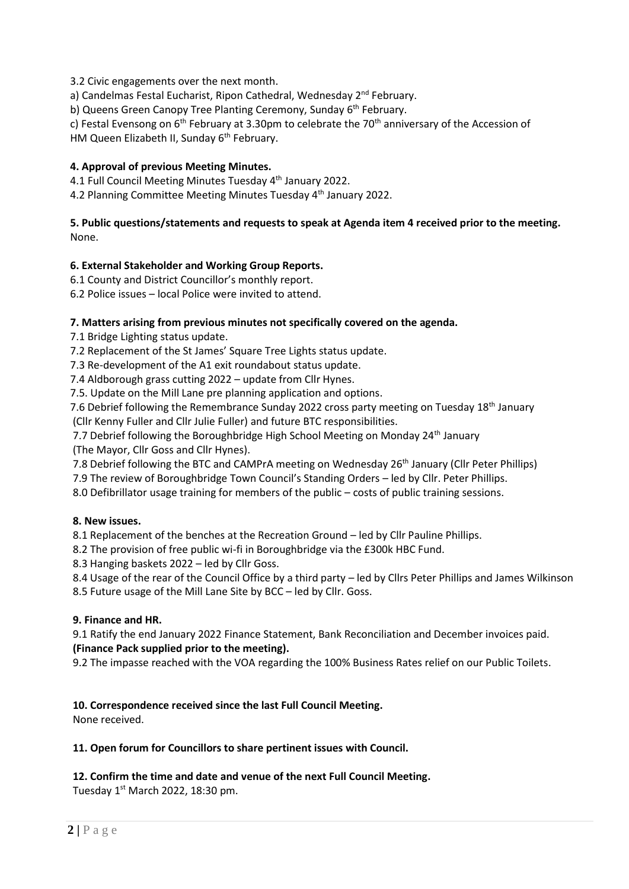3.2 Civic engagements over the next month.

a) Candelmas Festal Eucharist, Ripon Cathedral, Wednesday 2<sup>nd</sup> February.

b) Queens Green Canopy Tree Planting Ceremony, Sunday 6<sup>th</sup> February.

c) Festal Evensong on  $6<sup>th</sup>$  February at 3.30pm to celebrate the 70<sup>th</sup> anniversary of the Accession of HM Queen Elizabeth II, Sunday 6<sup>th</sup> February.

## **4. Approval of previous Meeting Minutes.**

4.1 Full Council Meeting Minutes Tuesday 4<sup>th</sup> January 2022.

4.2 Planning Committee Meeting Minutes Tuesday 4<sup>th</sup> January 2022.

## **5. Public questions/statements and requests to speak at Agenda item 4 received prior to the meeting.** None.

## **6. External Stakeholder and Working Group Reports.**

6.1 County and District Councillor's monthly report.

6.2 Police issues – local Police were invited to attend.

## **7. Matters arising from previous minutes not specifically covered on the agenda.**

7.1 Bridge Lighting status update.

7.2 Replacement of the St James' Square Tree Lights status update.

7.3 Re-development of the A1 exit roundabout status update.

7.4 Aldborough grass cutting 2022 – update from Cllr Hynes.

7.5. Update on the Mill Lane pre planning application and options.

7.6 Debrief following the Remembrance Sunday 2022 cross party meeting on Tuesday 18<sup>th</sup> January (Cllr Kenny Fuller and Cllr Julie Fuller) and future BTC responsibilities.

7.7 Debrief following the Boroughbridge High School Meeting on Monday  $24<sup>th</sup>$  January

(The Mayor, Cllr Goss and Cllr Hynes).

7.8 Debrief following the BTC and CAMPrA meeting on Wednesday 26<sup>th</sup> January (Cllr Peter Phillips)

7.9 The review of Boroughbridge Town Council's Standing Orders – led by Cllr. Peter Phillips.

8.0 Defibrillator usage training for members of the public – costs of public training sessions.

#### **8. New issues.**

8.1 Replacement of the benches at the Recreation Ground – led by Cllr Pauline Phillips.

8.2 The provision of free public wi-fi in Boroughbridge via the £300k HBC Fund.

8.3 Hanging baskets 2022 – led by Cllr Goss.

 8.4 Usage of the rear of the Council Office by a third party – led by Cllrs Peter Phillips and James Wilkinson 8.5 Future usage of the Mill Lane Site by BCC – led by Cllr. Goss.

## **9. Finance and HR.**

9.1 Ratify the end January 2022 Finance Statement, Bank Reconciliation and December invoices paid. **(Finance Pack supplied prior to the meeting).**

9.2 The impasse reached with the VOA regarding the 100% Business Rates relief on our Public Toilets.

## **10. Correspondence received since the last Full Council Meeting.**

None received.

#### **11. Open forum for Councillors to share pertinent issues with Council.**

# **12. Confirm the time and date and venue of the next Full Council Meeting.**

Tuesday 1<sup>st</sup> March 2022, 18:30 pm.